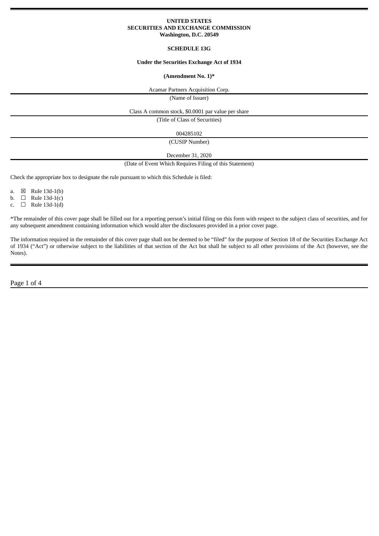# **UNITED STATES SECURITIES AND EXCHANGE COMMISSION Washington, D.C. 20549**

# **SCHEDULE 13G**

### **Under the Securities Exchange Act of 1934**

### **(Amendment No. 1)\***

Acamar Partners Acquisition Corp.

(Name of Issuer)

Class A common stock, \$0.0001 par value per share

(Title of Class of Securities)

004285102

(CUSIP Number)

December 31, 2020

(Date of Event Which Requires Filing of this Statement)

Check the appropriate box to designate the rule pursuant to which this Schedule is filed:

a.  $\boxtimes$  Rule 13d-1(b)

b.  $\Box$  Rule 13d-1(c)

c.  $\Box$  Rule 13d-1(d)

\*The remainder of this cover page shall be filled out for a reporting person's initial filing on this form with respect to the subject class of securities, and for any subsequent amendment containing information which would alter the disclosures provided in a prior cover page.

The information required in the remainder of this cover page shall not be deemed to be "filed" for the purpose of Section 18 of the Securities Exchange Act of 1934 ("Act") or otherwise subject to the liabilities of that section of the Act but shall be subject to all other provisions of the Act (however, see the Notes).

Page 1 of 4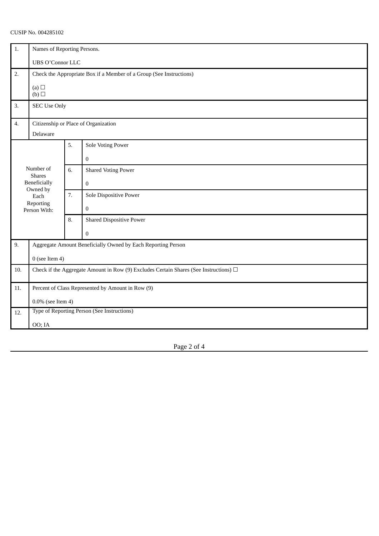# CUSIP No. 004285102

| 1.                                                                                          | Names of Reporting Persons.                                                                |    |                                 |
|---------------------------------------------------------------------------------------------|--------------------------------------------------------------------------------------------|----|---------------------------------|
|                                                                                             | <b>UBS O'Connor LLC</b>                                                                    |    |                                 |
| 2.                                                                                          | Check the Appropriate Box if a Member of a Group (See Instructions)                        |    |                                 |
| (a) $\Box$<br>(b)                                                                           |                                                                                            |    |                                 |
| 3.                                                                                          | <b>SEC Use Only</b>                                                                        |    |                                 |
| 4.                                                                                          | Citizenship or Place of Organization                                                       |    |                                 |
|                                                                                             | Delaware                                                                                   |    |                                 |
| Number of<br><b>Shares</b><br>Beneficially<br>Owned by<br>Each<br>Reporting<br>Person With: |                                                                                            | 5. | Sole Voting Power               |
|                                                                                             |                                                                                            |    | $\boldsymbol{0}$                |
|                                                                                             |                                                                                            | 6. | <b>Shared Voting Power</b>      |
|                                                                                             |                                                                                            |    | $\boldsymbol{0}$                |
|                                                                                             |                                                                                            | 7. | Sole Dispositive Power          |
|                                                                                             |                                                                                            |    | $\boldsymbol{0}$                |
|                                                                                             |                                                                                            | 8. | <b>Shared Dispositive Power</b> |
|                                                                                             |                                                                                            |    | $\overline{0}$                  |
| 9.                                                                                          | Aggregate Amount Beneficially Owned by Each Reporting Person                               |    |                                 |
|                                                                                             | $0$ (see Item 4)                                                                           |    |                                 |
| 10.                                                                                         | Check if the Aggregate Amount in Row (9) Excludes Certain Shares (See Instructions) $\Box$ |    |                                 |
| 11.                                                                                         | Percent of Class Represented by Amount in Row (9)                                          |    |                                 |
|                                                                                             | $0.0\%$ (see Item 4)                                                                       |    |                                 |
| Type of Reporting Person (See Instructions)<br>12.                                          |                                                                                            |    |                                 |
|                                                                                             | OO; IA                                                                                     |    |                                 |

Page 2 of 4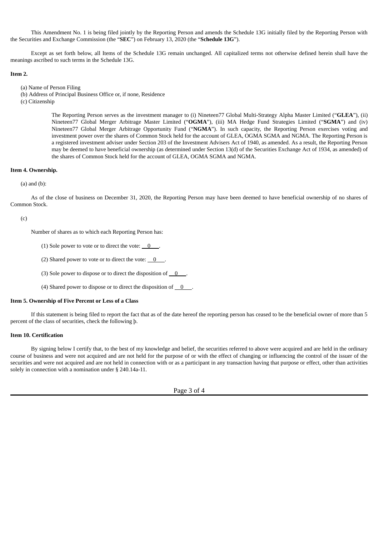This Amendment No. 1 is being filed jointly by the Reporting Person and amends the Schedule 13G initially filed by the Reporting Person with the Securities and Exchange Commission (the "**SEC**") on February 13, 2020 (the "**Schedule 13G**").

Except as set forth below, all Items of the Schedule 13G remain unchanged. All capitalized terms not otherwise defined herein shall have the meanings ascribed to such terms in the Schedule 13G.

### **Item 2.**

(a) Name of Person Filing

(b) Address of Principal Business Office or, if none, Residence

(c) Citizenship

The Reporting Person serves as the investment manager to (i) Nineteen77 Global Multi-Strategy Alpha Master Limited ("**GLEA**"), (ii) Nineteen77 Global Merger Arbitrage Master Limited ("**OGMA**"), (iii) MA Hedge Fund Strategies Limited ("**SGMA**") and (iv) Nineteen77 Global Merger Arbitrage Opportunity Fund ("**NGMA**"). In such capacity, the Reporting Person exercises voting and investment power over the shares of Common Stock held for the account of GLEA, OGMA SGMA and NGMA. The Reporting Person is a registered investment adviser under Section 203 of the Investment Advisers Act of 1940, as amended. As a result, the Reporting Person may be deemed to have beneficial ownership (as determined under Section 13(d) of the Securities Exchange Act of 1934, as amended) of the shares of Common Stock held for the account of GLEA, OGMA SGMA and NGMA.

# **Item 4. Ownership.**

### (a) and (b):

As of the close of business on December 31, 2020, the Reporting Person may have been deemed to have beneficial ownership of no shares of Common Stock.

#### (c)

Number of shares as to which each Reporting Person has:

(1) Sole power to vote or to direct the vote:  $\begin{array}{ccc} 0 & . \end{array}$ 

(2) Shared power to vote or to direct the vote:  $\qquad 0 \qquad$ .

- (3) Sole power to dispose or to direct the disposition of  $\begin{array}{c} 0 \end{array}$ .
- (4) Shared power to dispose or to direct the disposition of  $\sqrt{0}$  .

# **Item 5. Ownership of Five Percent or Less of a Class**

If this statement is being filed to report the fact that as of the date hereof the reporting person has ceased to be the beneficial owner of more than 5 percent of the class of securities, check the following þ.

### **Item 10. Certification**

By signing below I certify that, to the best of my knowledge and belief, the securities referred to above were acquired and are held in the ordinary course of business and were not acquired and are not held for the purpose of or with the effect of changing or influencing the control of the issuer of the securities and were not acquired and are not held in connection with or as a participant in any transaction having that purpose or effect, other than activities solely in connection with a nomination under § 240.14a-11.

Page 3 of 4